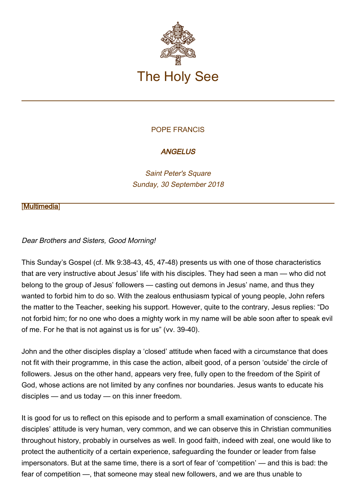

### POPE FRANCIS

## **ANGELUS**

Saint Peter's Square Sunday, 30 September 2018

#### [\[Multimedia](http://w2.vatican.va/content/francesco/en/events/event.dir.html/content/vaticanevents/en/2018/9/30/angelus.html)]

### Dear Brothers and Sisters, Good Morning!

This Sunday's Gospel (cf. Mk 9:38-43, 45, 47-48) presents us with one of those characteristics that are very instructive about Jesus' life with his disciples. They had seen a man — who did not belong to the group of Jesus' followers — casting out demons in Jesus' name, and thus they wanted to forbid him to do so. With the zealous enthusiasm typical of young people, John refers the matter to the Teacher, seeking his support. However, quite to the contrary, Jesus replies: "Do not forbid him; for no one who does a mighty work in my name will be able soon after to speak evil of me. For he that is not against us is for us" (vv. 39-40).

John and the other disciples display a 'closed' attitude when faced with a circumstance that does not fit with their programme, in this case the action, albeit good, of a person 'outside' the circle of followers. Jesus on the other hand, appears very free, fully open to the freedom of the Spirit of God, whose actions are not limited by any confines nor boundaries. Jesus wants to educate his disciples — and us today — on this inner freedom.

It is good for us to reflect on this episode and to perform a small examination of conscience. The disciples' attitude is very human, very common, and we can observe this in Christian communities throughout history, probably in ourselves as well. In good faith, indeed with zeal, one would like to protect the authenticity of a certain experience, safeguarding the founder or leader from false impersonators. But at the same time, there is a sort of fear of 'competition' — and this is bad: the fear of competition —, that someone may steal new followers, and we are thus unable to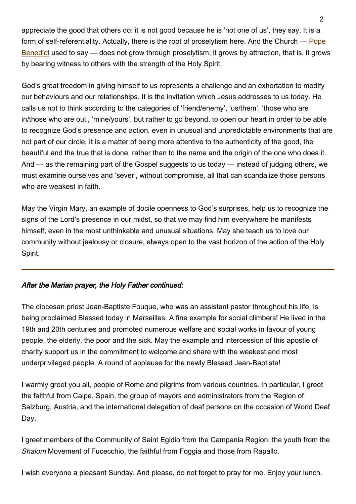appreciate the good that others do: it is not good because he is 'not one of us', they say. It is a form of self-referentiality. Actually, there is the root of proselytism here. And the Church — [Pope](http://w2.vatican.va/content/benedict-xvi/en.html) [Benedict](http://w2.vatican.va/content/benedict-xvi/en.html) used to say — does not grow through proselytism; it grows by attraction, that is, it grows by bearing witness to others with the strength of the Holy Spirit.

God's great freedom in giving himself to us represents a challenge and an exhortation to modify our behaviours and our relationships. It is the invitation which Jesus addresses to us today. He calls us not to think according to the categories of 'friend/enemy', 'us/them', 'those who are in/those who are out', 'mine/yours', but rather to go beyond, to open our heart in order to be able to recognize God's presence and action, even in unusual and unpredictable environments that are not part of our circle. It is a matter of being more attentive to the authenticity of the good, the beautiful and the true that is done, rather than to the name and the origin of the one who does it. And — as the remaining part of the Gospel suggests to us today — instead of judging others, we must examine ourselves and 'sever', without compromise, all that can scandalize those persons who are weakest in faith.

May the Virgin Mary, an example of docile openness to God's surprises, help us to recognize the signs of the Lord's presence in our midst, so that we may find him everywhere he manifests himself, even in the most unthinkable and unusual situations. May she teach us to love our community without jealousy or closure, always open to the vast horizon of the action of the Holy Spirit.

# After the Marian prayer, the Holy Father continued:

The diocesan priest Jean-Baptiste Fouque, who was an assistant pastor throughout his life, is being proclaimed Blessed today in Marseilles. A fine example for social climbers! He lived in the 19th and 20th centuries and promoted numerous welfare and social works in favour of young people, the elderly, the poor and the sick. May the example and intercession of this apostle of charity support us in the commitment to welcome and share with the weakest and most underprivileged people. A round of applause for the newly Blessed Jean-Baptiste!

I warmly greet you all, people of Rome and pilgrims from various countries. In particular, I greet the faithful from Calpe, Spain, the group of mayors and administrators from the Region of Salzburg, Austria, and the international delegation of deaf persons on the occasion of World Deaf Day.

I greet members of the Community of Saint Egidio from the Campania Region, the youth from the Shalom Movement of Fucecchio, the faithful from Foggia and those from Rapallo.

I wish everyone a pleasant Sunday. And please, do not forget to pray for me. Enjoy your lunch.